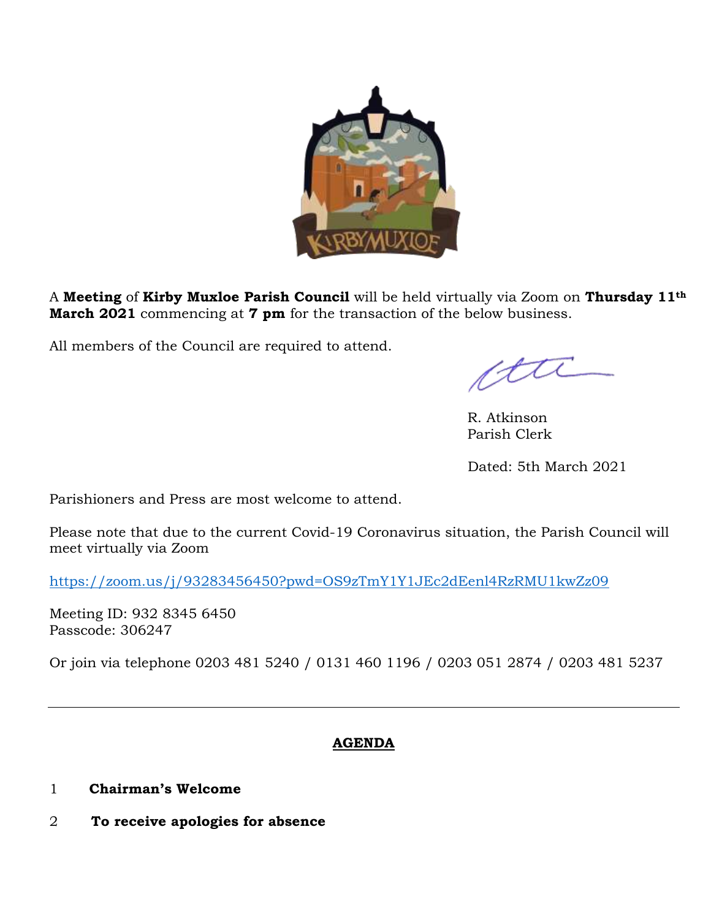

A **Meeting** of **Kirby Muxloe Parish Council** will be held virtually via Zoom on **Thursday 11th March 2021** commencing at **7 pm** for the transaction of the below business.

All members of the Council are required to attend.

cttl

 R. Atkinson Parish Clerk

Dated: 5th March 2021

Parishioners and Press are most welcome to attend.

Please note that due to the current Covid-19 Coronavirus situation, the Parish Council will meet virtually via Zoom

<https://zoom.us/j/93283456450?pwd=OS9zTmY1Y1JEc2dEenl4RzRMU1kwZz09>

Meeting ID: 932 8345 6450 Passcode: 306247

Or join via telephone 0203 481 5240 / 0131 460 1196 / 0203 051 2874 / 0203 481 5237

# **AGENDA**

- 1 **Chairman's Welcome**
- 2 **To receive apologies for absence**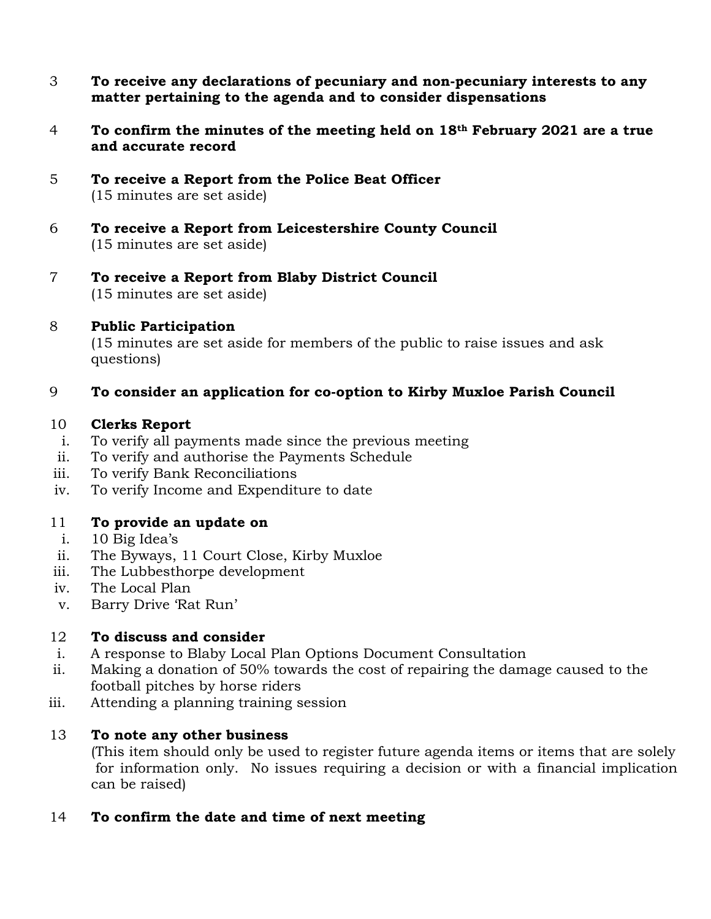- 3 **To receive any declarations of pecuniary and non-pecuniary interests to any matter pertaining to the agenda and to consider dispensations**
- 4 **To confirm the minutes of the meeting held on 18th February 2021 are a true and accurate record**
- 5 **To receive a Report from the Police Beat Officer** (15 minutes are set aside)
- 6 **To receive a Report from Leicestershire County Council** (15 minutes are set aside)
- 7 **To receive a Report from Blaby District Council** (15 minutes are set aside)

### 8 **Public Participation**

(15 minutes are set aside for members of the public to raise issues and ask questions)

# 9 **To consider an application for co-option to Kirby Muxloe Parish Council**

### 10 **Clerks Report**

- i. To verify all payments made since the previous meeting
- ii. To verify and authorise the Payments Schedule
- iii. To verify Bank Reconciliations
- iv. To verify Income and Expenditure to date

# 11 **To provide an update on**

- i. 10 Big Idea's
- ii. The Byways, 11 Court Close, Kirby Muxloe
- iii. The Lubbesthorpe development
- iv. The Local Plan
- v. Barry Drive 'Rat Run'

### 12 **To discuss and consider**

- i. A response to Blaby Local Plan Options Document Consultation
- ii. Making a donation of 50% towards the cost of repairing the damage caused to the football pitches by horse riders
- iii. Attending a planning training session

### 13 **To note any other business**

(This item should only be used to register future agenda items or items that are solely for information only. No issues requiring a decision or with a financial implication can be raised)

# 14 **To confirm the date and time of next meeting**